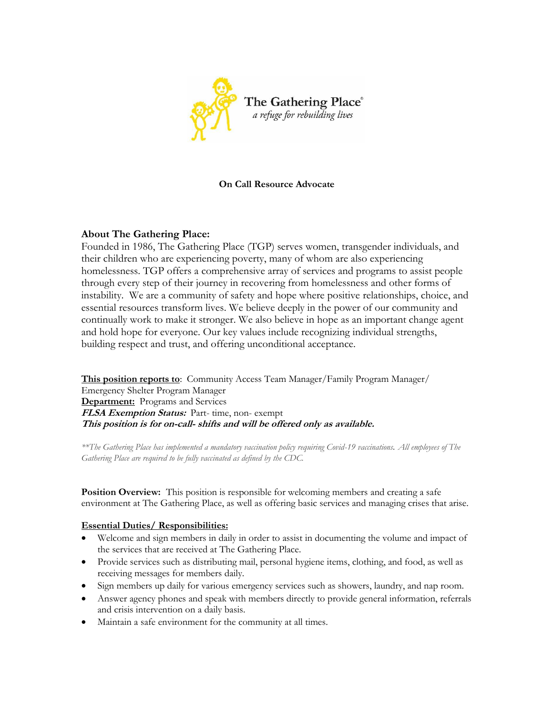

### **On Call Resource Advocate**

# **About The Gathering Place:**

Founded in 1986, The Gathering Place (TGP) serves women, transgender individuals, and their children who are experiencing poverty, many of whom are also experiencing homelessness. TGP offers a comprehensive array of services and programs to assist people through every step of their journey in recovering from homelessness and other forms of instability. We are a community of safety and hope where positive relationships, choice, and essential resources transform lives. We believe deeply in the power of our community and continually work to make it stronger. We also believe in hope as an important change agent and hold hope for everyone. Our key values include recognizing individual strengths, building respect and trust, and offering unconditional acceptance.

**This position reports to**: Community Access Team Manager/Family Program Manager/ Emergency Shelter Program Manager **Department:** Programs and Services **FLSA Exemption Status:** Part- time, non- exempt **This position is for on-call- shifts and will be offered only as available.** 

*\*\*The Gathering Place has implemented a mandatory vaccination policy requiring Covid-19 vaccinations. All employees of The Gathering Place are required to be fully vaccinated as defined by the CDC.*

**Position Overview:** This position is responsible for welcoming members and creating a safe environment at The Gathering Place, as well as offering basic services and managing crises that arise.

### **Essential Duties/ Responsibilities:**

- Welcome and sign members in daily in order to assist in documenting the volume and impact of the services that are received at The Gathering Place.
- Provide services such as distributing mail, personal hygiene items, clothing, and food, as well as receiving messages for members daily.
- Sign members up daily for various emergency services such as showers, laundry, and nap room.
- Answer agency phones and speak with members directly to provide general information, referrals and crisis intervention on a daily basis.
- Maintain a safe environment for the community at all times.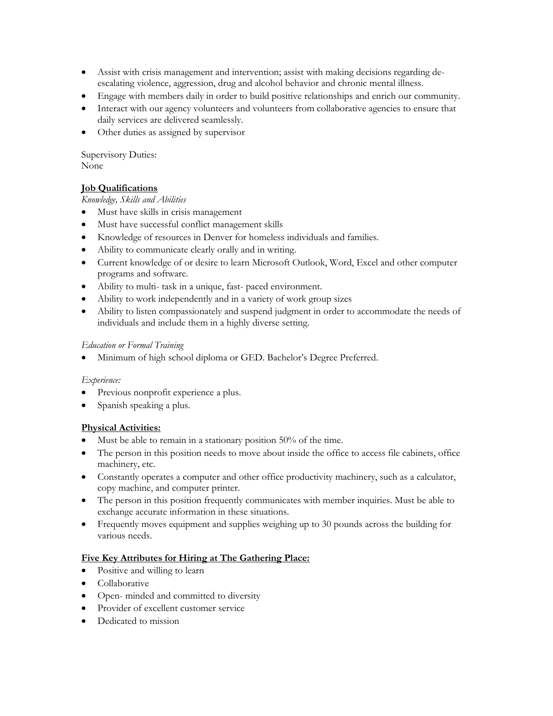- Assist with crisis management and intervention; assist with making decisions regarding deescalating violence, aggression, drug and alcohol behavior and chronic mental illness.
- Engage with members daily in order to build positive relationships and enrich our community.
- Interact with our agency volunteers and volunteers from collaborative agencies to ensure that daily services are delivered seamlessly.
- Other duties as assigned by supervisor

Supervisory Duties: None

### **Job Qualifications**

### *Knowledge, Skills and Abilities*

- Must have skills in crisis management
- Must have successful conflict management skills
- Knowledge of resources in Denver for homeless individuals and families.
- Ability to communicate clearly orally and in writing.
- Current knowledge of or desire to learn Microsoft Outlook, Word, Excel and other computer programs and software.
- Ability to multi- task in a unique, fast- paced environment.
- Ability to work independently and in a variety of work group sizes
- Ability to listen compassionately and suspend judgment in order to accommodate the needs of individuals and include them in a highly diverse setting.

### *Education or Formal Training*

Minimum of high school diploma or GED. Bachelor's Degree Preferred.

### *Experience:*

- Previous nonprofit experience a plus.
- Spanish speaking a plus.

# **Physical Activities:**

- Must be able to remain in a stationary position 50% of the time.
- The person in this position needs to move about inside the office to access file cabinets, office machinery, etc.
- Constantly operates a computer and other office productivity machinery, such as a calculator, copy machine, and computer printer.
- The person in this position frequently communicates with member inquiries. Must be able to exchange accurate information in these situations.
- Frequently moves equipment and supplies weighing up to 30 pounds across the building for various needs.

### **Five Key Attributes for Hiring at The Gathering Place:**

- Positive and willing to learn
- **•** Collaborative
- Open- minded and committed to diversity
- Provider of excellent customer service
- Dedicated to mission